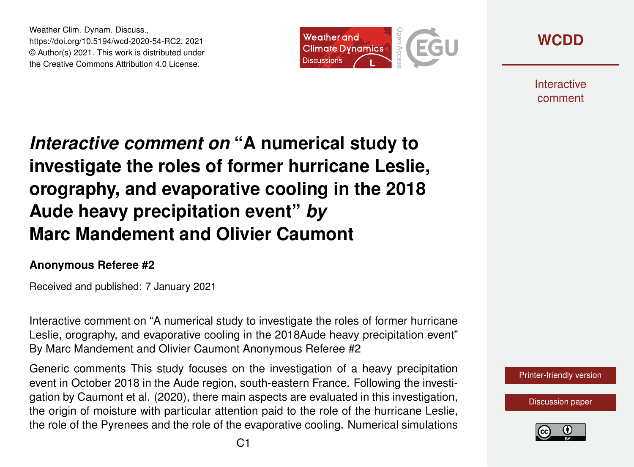Weather Clim. Dynam. Discuss., https://doi.org/10.5194/wcd-2020-54-RC2, 2021 © Author(s) 2021. This work is distributed under the Creative Commons Attribution 4.0 License.





**Interactive** comment

## *Interactive comment on* **"A numerical study to investigate the roles of former hurricane Leslie, orography, and evaporative cooling in the 2018 Aude heavy precipitation event"** *by* **Marc Mandement and Olivier Caumont**

## **Anonymous Referee #2**

Received and published: 7 January 2021

Interactive comment on "A numerical study to investigate the roles of former hurricane Leslie, orography, and evaporative cooling in the 2018Aude heavy precipitation event" By Marc Mandement and Olivier Caumont Anonymous Referee #2

Generic comments This study focuses on the investigation of a heavy precipitation event in October 2018 in the Aude region, south-eastern France. Following the investigation by Caumont et al. (2020), there main aspects are evaluated in this investigation, the origin of moisture with particular attention paid to the role of the hurricane Leslie, the role of the Pyrenees and the role of the evaporative cooling. Numerical simulations

[Printer-friendly version](https://wcd.copernicus.org/preprints/wcd-2020-54/wcd-2020-54-RC2-print.pdf)

[Discussion paper](https://wcd.copernicus.org/preprints/wcd-2020-54)

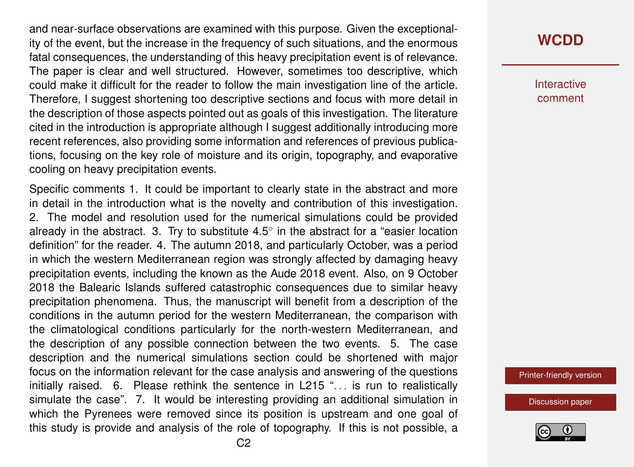and near-surface observations are examined with this purpose. Given the exceptionality of the event, but the increase in the frequency of such situations, and the enormous fatal consequences, the understanding of this heavy precipitation event is of relevance. The paper is clear and well structured. However, sometimes too descriptive, which could make it difficult for the reader to follow the main investigation line of the article. Therefore, I suggest shortening too descriptive sections and focus with more detail in the description of those aspects pointed out as goals of this investigation. The literature cited in the introduction is appropriate although I suggest additionally introducing more recent references, also providing some information and references of previous publications, focusing on the key role of moisture and its origin, topography, and evaporative cooling on heavy precipitation events.

Specific comments 1. It could be important to clearly state in the abstract and more in detail in the introduction what is the novelty and contribution of this investigation. 2. The model and resolution used for the numerical simulations could be provided already in the abstract. 3. Try to substitute  $4.5^\circ$  in the abstract for a "easier location definition" for the reader. 4. The autumn 2018, and particularly October, was a period in which the western Mediterranean region was strongly affected by damaging heavy precipitation events, including the known as the Aude 2018 event. Also, on 9 October 2018 the Balearic Islands suffered catastrophic consequences due to similar heavy precipitation phenomena. Thus, the manuscript will benefit from a description of the conditions in the autumn period for the western Mediterranean, the comparison with the climatological conditions particularly for the north-western Mediterranean, and the description of any possible connection between the two events. 5. The case description and the numerical simulations section could be shortened with major focus on the information relevant for the case analysis and answering of the questions initially raised. 6. Please rethink the sentence in L215 "... is run to realistically simulate the case". 7. It would be interesting providing an additional simulation in which the Pyrenees were removed since its position is upstream and one goal of this study is provide and analysis of the role of topography. If this is not possible, a

**Interactive** comment

[Printer-friendly version](https://wcd.copernicus.org/preprints/wcd-2020-54/wcd-2020-54-RC2-print.pdf)

[Discussion paper](https://wcd.copernicus.org/preprints/wcd-2020-54)